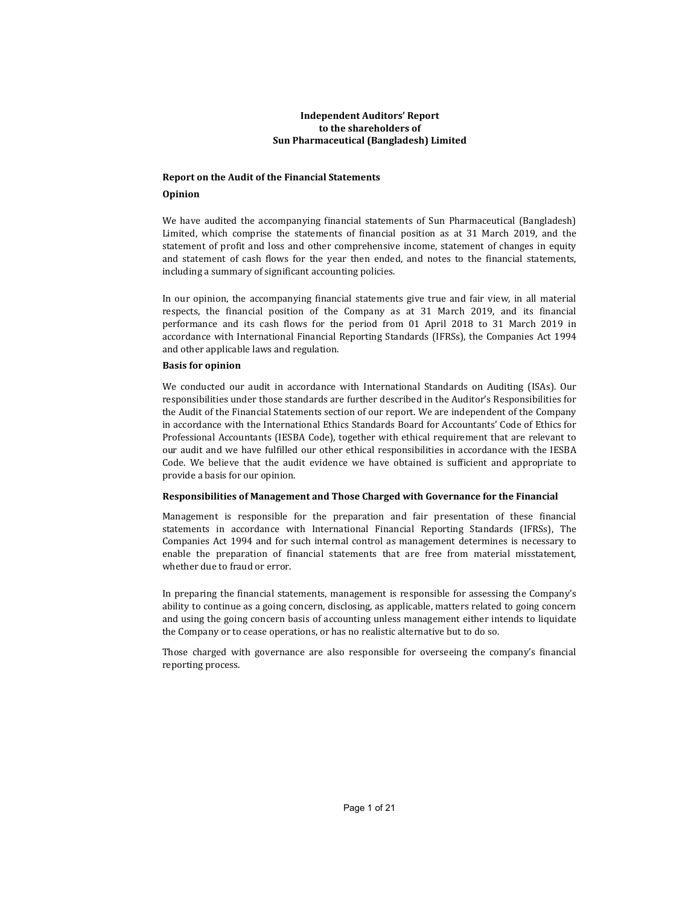## Independent Auditors' Report to the shareholders of Sun Pharmaceutical (Bangladesh) Limited

# Report on the Audit of the Financial Statements Opinion

We have audited the accompanying financial statements of Sun Pharmaceutical (Bangladesh) Limited, which comprise the statements of financial position as at 31 March 2019, and the statement of profit and loss and other comprehensive income, statement of changes in equity and statement of cash flows for the year then ended, and notes to the financial statements, including a summary of significant accounting policies.

In our opinion, the accompanying financial statements give true and fair view, in all material respects, the financial position of the Company as at 31 March 2019, and its financial performance and its cash flows for the period from 01 April 2018 to 31 March 2019 in accordance with International Financial Reporting Standards (IFRSs), the Companies Act 1994 and other applicable laws and regulation.

## Basis for opinion

We conducted our audit in accordance with International Standards on Auditing (ISAs). Our responsibilities under those standards are further described in the Auditor's Responsibilities for the Audit of the Financial Statements section of our report. We are independent of the Company in accordance with the International Ethics Standards Board for Accountants' Code of Ethics for Professional Accountants (IESBA Code), together with ethical requirement that are relevant to our audit and we have fulfilled our other ethical responsibilities in accordance with the IESBA Code. We believe that the audit evidence we have obtained is sufficient and appropriate to provide a basis for our opinion.

## Responsibilities of Management and Those Charged with Governance for the Financial

Management is responsible for the preparation and fair presentation of these financial statements in accordance with International Financial Reporting Standards (IFRSs), The Companies Act 1994 and for such internal control as management determines is necessary to enable the preparation of financial statements that are free from material misstatement, whether due to fraud or error.

In preparing the financial statements, management is responsible for assessing the Company's ability to continue as a going concern, disclosing, as applicable, matters related to going concern and using the going concern basis of accounting unless management either intends to liquidate the Company or to cease operations, or has no realistic alternative but to do so.

Those charged with governance are also responsible for overseeing the company's financial reporting process.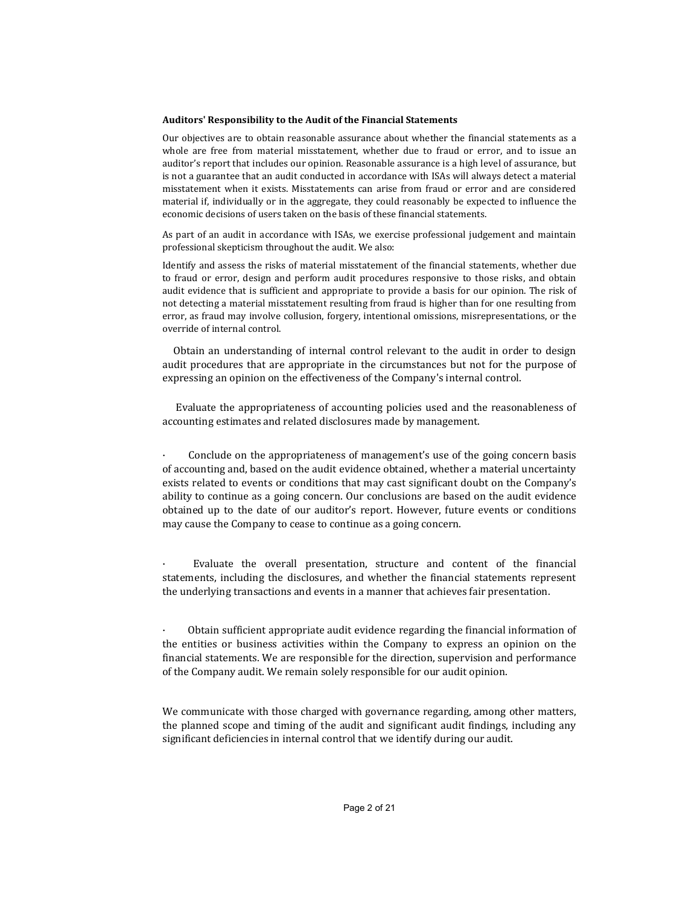### Auditors' Responsibility to the Audit of the Financial Statements

Our objectives are to obtain reasonable assurance about whether the financial statements as a whole are free from material misstatement, whether due to fraud or error, and to issue an auditor's report that includes our opinion. Reasonable assurance is a high level of assurance, but is not a guarantee that an audit conducted in accordance with ISAs will always detect a material misstatement when it exists. Misstatements can arise from fraud or error and are considered material if, individually or in the aggregate, they could reasonably be expected to influence the economic decisions of users taken on the basis of these financial statements.

As part of an audit in accordance with ISAs, we exercise professional judgement and maintain professional skepticism throughout the audit. We also:

Identify and assess the risks of material misstatement of the financial statements, whether due to fraud or error, design and perform audit procedures responsive to those risks, and obtain audit evidence that is sufficient and appropriate to provide a basis for our opinion. The risk of not detecting a material misstatement resulting from fraud is higher than for one resulting from error, as fraud may involve collusion, forgery, intentional omissions, misrepresentations, or the override of internal control.

Obtain an understanding of internal control relevant to the audit in order to design audit procedures that are appropriate in the circumstances but not for the purpose of expressing an opinion on the effectiveness of the Company's internal control.

Evaluate the appropriateness of accounting policies used and the reasonableness of accounting estimates and related disclosures made by management.

Conclude on the appropriateness of management's use of the going concern basis of accounting and, based on the audit evidence obtained, whether a material uncertainty exists related to events or conditions that may cast significant doubt on the Company's ability to continue as a going concern. Our conclusions are based on the audit evidence obtained up to the date of our auditor's report. However, future events or conditions may cause the Company to cease to continue as a going concern.

Evaluate the overall presentation, structure and content of the financial statements, including the disclosures, and whether the financial statements represent the underlying transactions and events in a manner that achieves fair presentation.

· Obtain sufficient appropriate audit evidence regarding the financial information of the entities or business activities within the Company to express an opinion on the financial statements. We are responsible for the direction, supervision and performance of the Company audit. We remain solely responsible for our audit opinion.

We communicate with those charged with governance regarding, among other matters, the planned scope and timing of the audit and significant audit findings, including any significant deficiencies in internal control that we identify during our audit.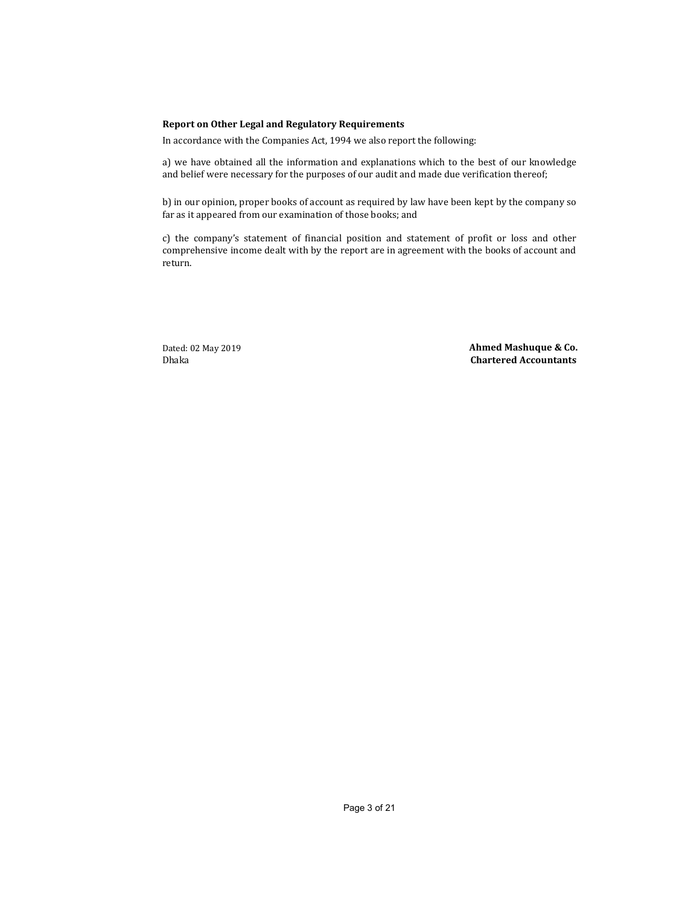## Report on Other Legal and Regulatory Requirements

In accordance with the Companies Act, 1994 we also report the following:

a) we have obtained all the information and explanations which to the best of our knowledge and belief were necessary for the purposes of our audit and made due verification thereof;

b) in our opinion, proper books of account as required by law have been kept by the company so far as it appeared from our examination of those books; and

c) the company's statement of financial position and statement of profit or loss and other comprehensive income dealt with by the report are in agreement with the books of account and return.

Dated: 02 May 2019

Dhaka Chartered Accountants Ahmed Mashuque & Co.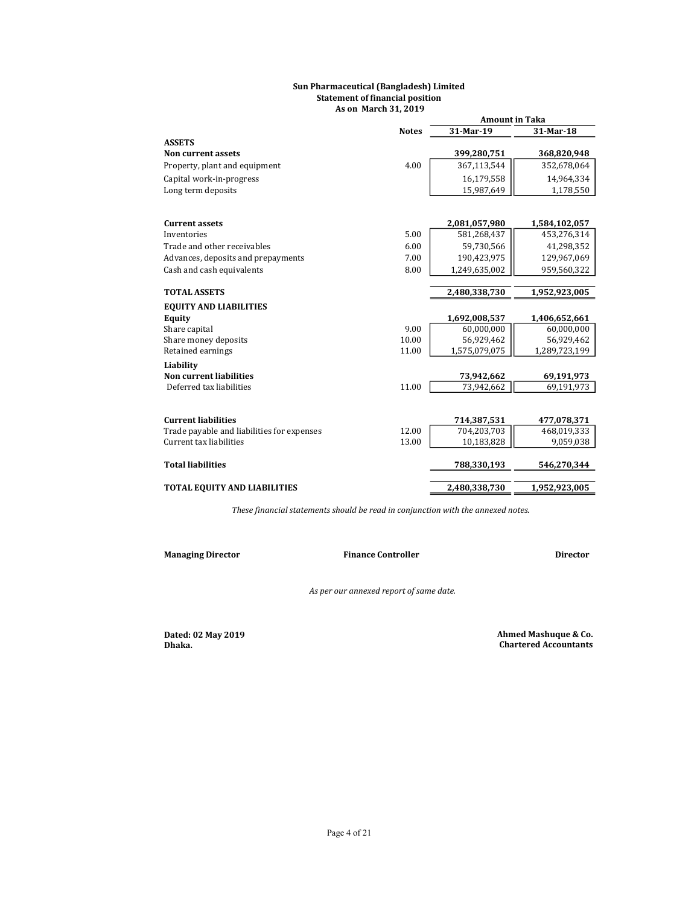### Statement of financial position Sun Pharmaceutical (Bangladesh) Limited As on March 31, 2019

|                                            |              | <b>Amount in Taka</b> |               |  |
|--------------------------------------------|--------------|-----------------------|---------------|--|
|                                            | <b>Notes</b> | 31-Mar-19             | 31-Mar-18     |  |
| <b>ASSETS</b>                              |              |                       |               |  |
| Non current assets                         |              | 399,280,751           | 368,820,948   |  |
| Property, plant and equipment              | 4.00         | 367,113,544           | 352,678,064   |  |
| Capital work-in-progress                   |              | 16,179,558            | 14,964,334    |  |
| Long term deposits                         |              | 15,987,649            | 1,178,550     |  |
|                                            |              |                       |               |  |
| <b>Current assets</b>                      |              | 2,081,057,980         | 1,584,102,057 |  |
| Inventories                                | 5.00         | 581,268,437           | 453,276,314   |  |
| Trade and other receivables                | 6.00         | 59,730,566            | 41,298,352    |  |
| Advances, deposits and prepayments         | 7.00         | 190,423,975           | 129,967,069   |  |
| Cash and cash equivalents                  | 8.00         | 1,249,635,002         | 959,560,322   |  |
|                                            |              |                       |               |  |
| <b>TOTAL ASSETS</b>                        |              | 2,480,338,730         | 1,952,923,005 |  |
| <b>EQUITY AND LIABILITIES</b>              |              |                       |               |  |
| Equity                                     |              | 1,692,008,537         | 1,406,652,661 |  |
| Share capital                              | 9.00         | 60,000,000            | 60,000,000    |  |
| Share money deposits                       | 10.00        | 56,929,462            | 56,929,462    |  |
| Retained earnings                          | 11.00        | 1,575,079,075         | 1,289,723,199 |  |
| Liability                                  |              |                       |               |  |
| <b>Non current liabilities</b>             |              | 73,942,662            | 69,191,973    |  |
| Deferred tax liabilities                   | 11.00        | 73,942,662            | 69,191,973    |  |
|                                            |              |                       |               |  |
| <b>Current liabilities</b>                 |              | 714,387,531           | 477,078,371   |  |
| Trade payable and liabilities for expenses | 12.00        | 704,203,703           | 468,019,333   |  |
| Current tax liabilities                    | 13.00        | 10,183,828            | 9,059,038     |  |
| <b>Total liabilities</b>                   |              | 788,330,193           | 546,270,344   |  |
| <b>TOTAL EQUITY AND LIABILITIES</b>        |              | 2,480,338,730         | 1,952,923,005 |  |

These financial statements should be read in conjunction with the annexed notes.

Managing Director **Director Primarily Example 2** Finance Controller **Director Director** 

Finance Controller

As per our annexed report of same date.

Dated: 02 May 2019 Dhaka.

 Ahmed Mashuque & Co. Chartered Accountants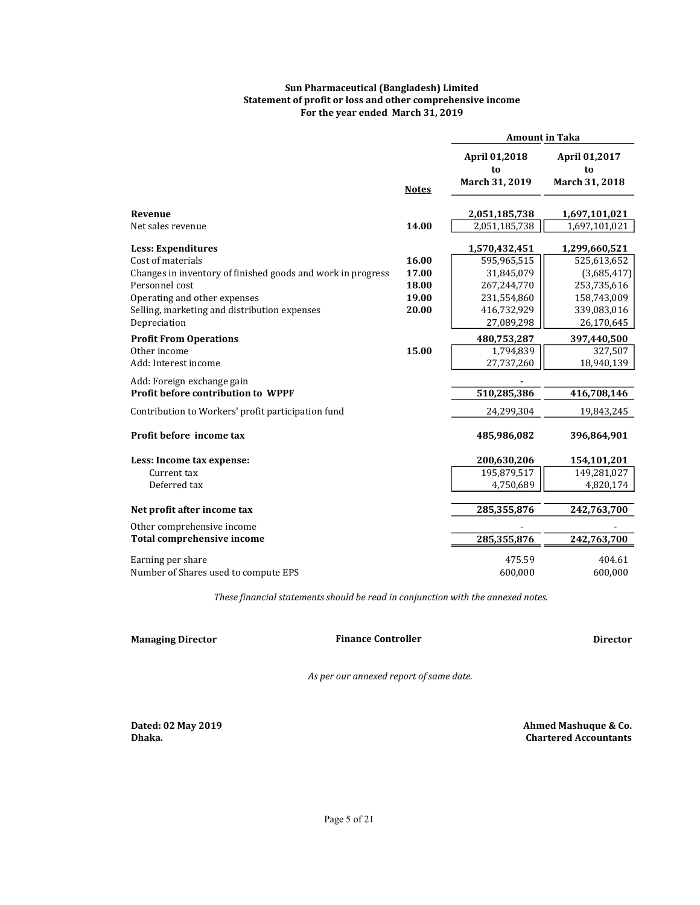## Sun Pharmaceutical (Bangladesh) Limited Statement of profit or loss and other comprehensive income For the year ended March 31, 2019

|                                                             |              | <b>Amount in Taka</b> |                     |  |
|-------------------------------------------------------------|--------------|-----------------------|---------------------|--|
|                                                             |              | April 01,2018<br>to   | April 01,2017<br>to |  |
|                                                             | <b>Notes</b> | March 31, 2019        | March 31, 2018      |  |
| Revenue                                                     |              | 2,051,185,738         | 1,697,101,021       |  |
| Net sales revenue                                           | 14.00        | 2,051,185,738         | 1,697,101,021       |  |
| <b>Less: Expenditures</b>                                   |              | 1,570,432,451         | 1,299,660,521       |  |
| Cost of materials                                           | 16.00        | 595,965,515           | 525,613,652         |  |
| Changes in inventory of finished goods and work in progress | 17.00        | 31,845,079            | (3,685,417)         |  |
| Personnel cost                                              | 18.00        | 267,244,770           | 253,735,616         |  |
| Operating and other expenses                                | 19.00        | 231,554,860           | 158,743,009         |  |
| Selling, marketing and distribution expenses                | 20.00        | 416,732,929           | 339,083,016         |  |
| Depreciation                                                |              | 27,089,298            | 26,170,645          |  |
| <b>Profit From Operations</b>                               |              | 480,753,287           | 397,440,500         |  |
| Other income                                                | 15.00        | 1,794,839             | 327,507             |  |
| Add: Interest income                                        |              | 27,737,260            | 18,940,139          |  |
| Add: Foreign exchange gain                                  |              |                       |                     |  |
| <b>Profit before contribution to WPPF</b>                   |              | 510,285,386           | 416,708,146         |  |
| Contribution to Workers' profit participation fund          |              | 24,299,304            | 19,843,245          |  |
| Profit before income tax                                    |              | 485,986,082           | 396,864,901         |  |
| Less: Income tax expense:                                   |              | 200,630,206           | 154,101,201         |  |
| Current tax                                                 |              | 195,879,517           | 149,281,027         |  |
| Deferred tax                                                |              | 4,750,689             | 4,820,174           |  |
| Net profit after income tax                                 |              | 285,355,876           | 242,763,700         |  |
| Other comprehensive income                                  |              |                       |                     |  |
| <b>Total comprehensive income</b>                           |              | 285,355,876           | 242,763,700         |  |
|                                                             |              |                       |                     |  |
| Earning per share                                           |              | 475.59                | 404.61              |  |
| Number of Shares used to compute EPS                        |              | 600,000               | 600,000             |  |

These financial statements should be read in conjunction with the annexed notes.

# Managing Director **Example 2** Finance Controller **Controller Example 2** Director

As per our annexed report of same date.

Dated: 02 May 2019 Dhaka.

 Chartered Accountants Ahmed Mashuque & Co.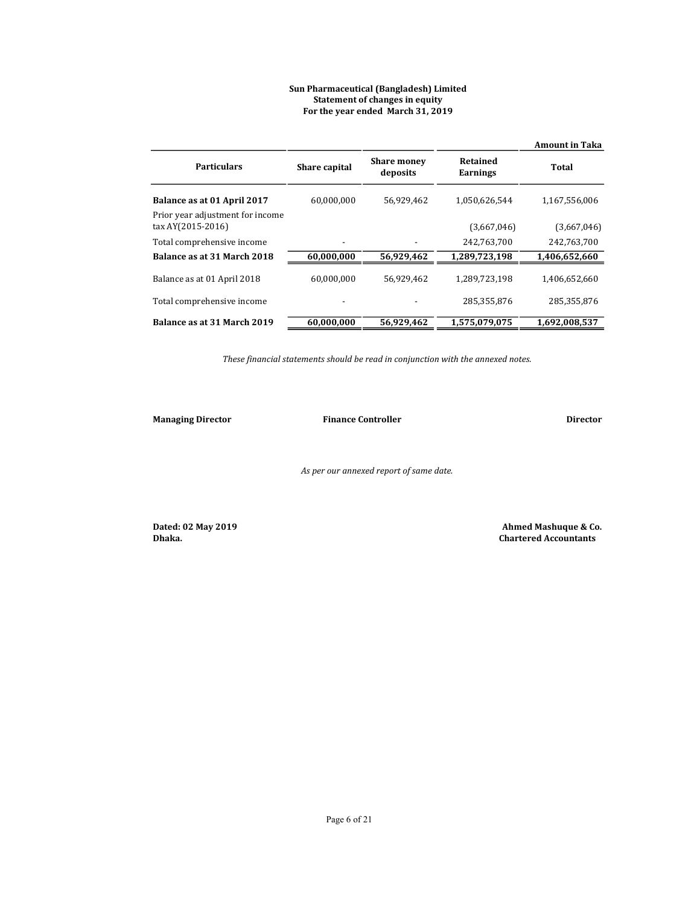## Sun Pharmaceutical (Bangladesh) Limited Statement of changes in equity For the year ended March 31, 2019

|                                                       |               |                                |                             | <b>Amount in Taka</b> |
|-------------------------------------------------------|---------------|--------------------------------|-----------------------------|-----------------------|
| <b>Particulars</b>                                    | Share capital | <b>Share money</b><br>deposits | Retained<br><b>Earnings</b> | Total                 |
| Balance as at 01 April 2017                           | 60,000,000    | 56,929,462                     | 1,050,626,544               | 1,167,556,006         |
| Prior year adjustment for income<br>tax AY(2015-2016) |               |                                | (3,667,046)                 | (3,667,046)           |
| Total comprehensive income                            |               |                                | 242,763,700                 | 242,763,700           |
| Balance as at 31 March 2018                           | 60,000,000    | 56,929,462                     | 1,289,723,198               | 1,406,652,660         |
| Balance as at 01 April 2018                           | 60.000.000    | 56,929,462                     | 1.289.723.198               | 1.406.652.660         |
| Total comprehensive income                            |               |                                | 285.355.876                 | 285.355.876           |
| Balance as at 31 March 2019                           | 60,000,000    | 56,929,462                     | 1,575,079,075               | 1,692,008,537         |

These financial statements should be read in conjunction with the annexed notes.

Managing Director **Director Controller Example 2 Director Director** Finance Controller

As per our annexed report of same date.

Dated: 02 May 2019 Dhaka.

 Ahmed Mashuque & Co. Chartered Accountants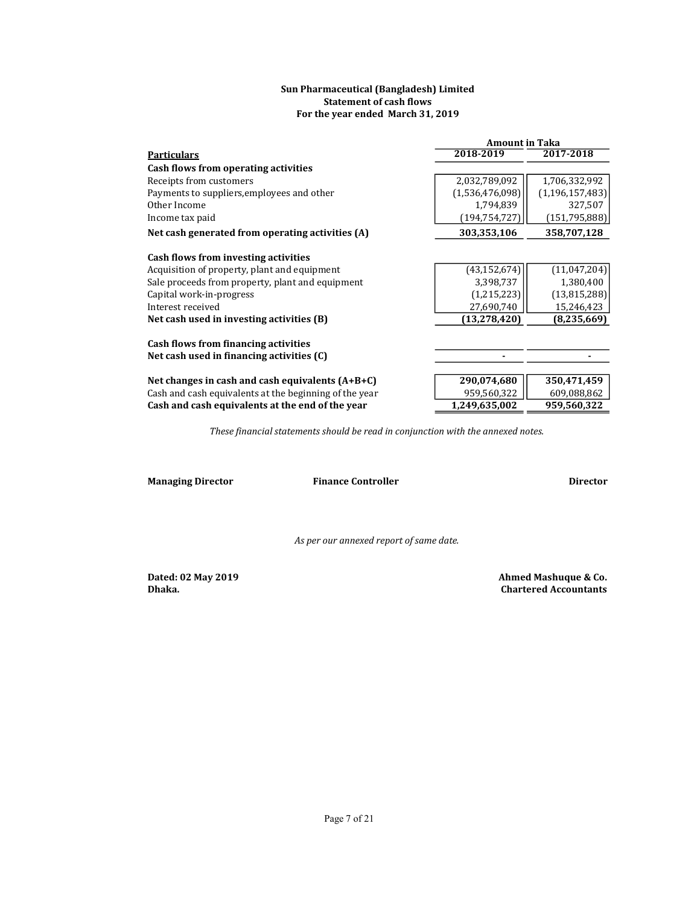## Sun Pharmaceutical (Bangladesh) Limited Statement of cash flows For the year ended March 31, 2019

|                                                        | <b>Amount in Taka</b> |                    |
|--------------------------------------------------------|-----------------------|--------------------|
| <b>Particulars</b>                                     | 2018-2019             | 2017-2018          |
| Cash flows from operating activities                   |                       |                    |
| Receipts from customers                                | 2,032,789,092         | 1,706,332,992      |
| Payments to suppliers, employees and other             | (1,536,476,098)       | (1, 196, 157, 483) |
| Other Income                                           | 1,794,839             | 327,507            |
| Income tax paid                                        | (194,754,727)         | (151, 795, 888)    |
| Net cash generated from operating activities (A)       | 303,353,106           | 358,707,128        |
|                                                        |                       |                    |
| Cash flows from investing activities                   |                       |                    |
| Acquisition of property, plant and equipment           | (43, 152, 674)        | (11,047,204)       |
| Sale proceeds from property, plant and equipment       | 3,398,737             | 1,380,400          |
| Capital work-in-progress                               | (1, 215, 223)         | (13,815,288)       |
| Interest received                                      | 27,690,740            | 15,246,423         |
| Net cash used in investing activities (B)              | (13, 278, 420)        | (8, 235, 669)      |
|                                                        |                       |                    |
| Cash flows from financing activities                   |                       |                    |
| Net cash used in financing activities (C)              |                       |                    |
| Net changes in cash and cash equivalents $(A+B+C)$     | 290,074,680           | 350,471,459        |
| Cash and cash equivalents at the beginning of the year | 959,560,322           | 609,088,862        |
| Cash and cash equivalents at the end of the year       | 1,249,635,002         | 959,560,322        |

These financial statements should be read in conjunction with the annexed notes.

Managing Director Director Finance Controller

As per our annexed report of same date.

Dated: 02 May 2019 Dhaka.

 Ahmed Mashuque & Co. Chartered Accountants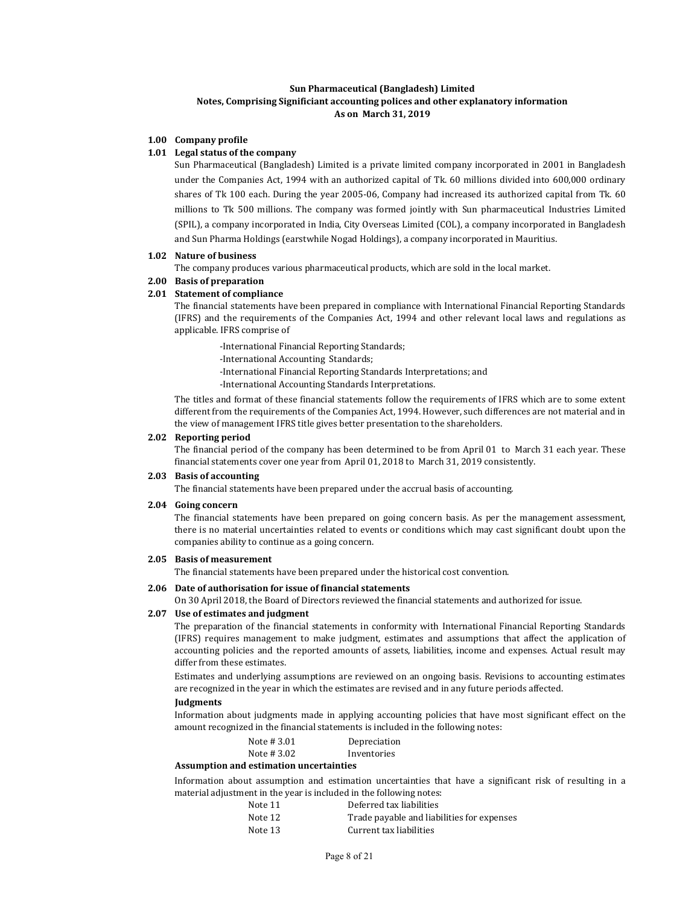## Sun Pharmaceutical (Bangladesh) Limited Notes, Comprising Significiant accounting polices and other explanatory information As on March 31, 2019

### 1.00 Company profile

### 1.01 Legal status of the company

Sun Pharmaceutical (Bangladesh) Limited is a private limited company incorporated in 2001 in Bangladesh under the Companies Act, 1994 with an authorized capital of Tk. 60 millions divided into 600,000 ordinary shares of Tk 100 each. During the year 2005-06, Company had increased its authorized capital from Tk. 60 millions to Tk 500 millions. The company was formed jointly with Sun pharmaceutical Industries Limited (SPIL), a company incorporated in India, City Overseas Limited (COL), a company incorporated in Bangladesh and Sun Pharma Holdings (earstwhile Nogad Holdings), a company incorporated in Mauritius.

### 1.02 Nature of business

The company produces various pharmaceutical products, which are sold in the local market.

## 2.00 Basis of preparation

## 2.01 Statement of compliance

The financial statements have been prepared in compliance with International Financial Reporting Standards (IFRS) and the requirements of the Companies Act, 1994 and other relevant local laws and regulations as applicable. IFRS comprise of

- -International Financial Reporting Standards;
- -International Accounting Standards;
- -International Financial Reporting Standards Interpretations; and
- -International Accounting Standards Interpretations.

The titles and format of these financial statements follow the requirements of IFRS which are to some extent different from the requirements of the Companies Act, 1994. However, such differences are not material and in the view of management IFRS title gives better presentation to the shareholders.

## 2.02 Reporting period

The financial period of the company has been determined to be from April 01 to March 31 each year. These financial statements cover one year from April 01, 2018 to March 31, 2019 consistently.

### 2.03 Basis of accounting

The financial statements have been prepared under the accrual basis of accounting.

### 2.04 Going concern

The financial statements have been prepared on going concern basis. As per the management assessment, there is no material uncertainties related to events or conditions which may cast significant doubt upon the companies ability to continue as a going concern.

### 2.05 Basis of measurement

The financial statements have been prepared under the historical cost convention.

## 2.06 Date of authorisation for issue of financial statements

On 30 April 2018, the Board of Directors reviewed the financial statements and authorized for issue.

### 2.07 Use of estimates and judgment

The preparation of the financial statements in conformity with International Financial Reporting Standards (IFRS) requires management to make judgment, estimates and assumptions that affect the application of accounting policies and the reported amounts of assets, liabilities, income and expenses. Actual result may differ from these estimates.

Estimates and underlying assumptions are reviewed on an ongoing basis. Revisions to accounting estimates are recognized in the year in which the estimates are revised and in any future periods affected.

### **Judgments**

Information about judgments made in applying accounting policies that have most significant effect on the amount recognized in the financial statements is included in the following notes:

| Note # 3.01 | Depreciation |
|-------------|--------------|
| Note #3.02  | Inventories  |

#### Assumption and estimation uncertainties

Information about assumption and estimation uncertainties that have a significant risk of resulting in a material adjustment in the year is included in the following notes:

| Note 11 | Deferred tax liabilities                   |
|---------|--------------------------------------------|
| Note 12 | Trade payable and liabilities for expenses |
| Note 13 | Current tax liabilities                    |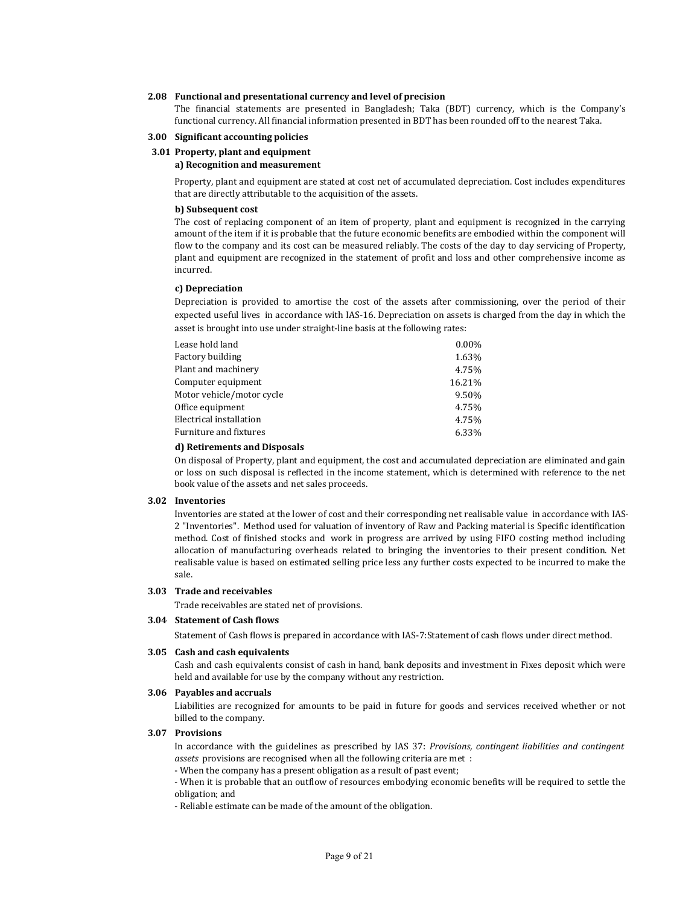### 2.08 Functional and presentational currency and level of precision

The financial statements are presented in Bangladesh; Taka (BDT) currency, which is the Company's functional currency. All financial information presented in BDT has been rounded off to the nearest Taka.

### Significant accounting policies 3.00

## 3.01 Property, plant and equipment

## a) Recognition and measurement

Property, plant and equipment are stated at cost net of accumulated depreciation. Cost includes expenditures that are directly attributable to the acquisition of the assets.

### b) Subsequent cost

The cost of replacing component of an item of property, plant and equipment is recognized in the carrying amount of the item if it is probable that the future economic benefits are embodied within the component will flow to the company and its cost can be measured reliably. The costs of the day to day servicing of Property, plant and equipment are recognized in the statement of profit and loss and other comprehensive income as incurred.

### c) Depreciation

Depreciation is provided to amortise the cost of the assets after commissioning, over the period of their expected useful lives in accordance with IAS-16. Depreciation on assets is charged from the day in which the asset is brought into use under straight-line basis at the following rates:

| Lease hold land           | $0.00\%$ |
|---------------------------|----------|
| Factory building          | 1.63%    |
| Plant and machinery       | 4.75%    |
| Computer equipment        | 16.21%   |
| Motor vehicle/motor cycle | 9.50%    |
| Office equipment          | 4.75%    |
| Electrical installation   | 4.75%    |
| Furniture and fixtures    | 6.33%    |
|                           |          |

### d) Retirements and Disposals

On disposal of Property, plant and equipment, the cost and accumulated depreciation are eliminated and gain or loss on such disposal is reflected in the income statement, which is determined with reference to the net book value of the assets and net sales proceeds.

### Inventories 3.02

Inventories are stated at the lower of cost and their corresponding net realisable value in accordance with IAS-2 "Inventories". Method used for valuation of inventory of Raw and Packing material is Specific identification method. Cost of finished stocks and work in progress are arrived by using FIFO costing method including allocation of manufacturing overheads related to bringing the inventories to their present condition. Net realisable value is based on estimated selling price less any further costs expected to be incurred to make the sale.

## 3.03 Trade and receivables

Trade receivables are stated net of provisions.

## 3.04 Statement of Cash flows

Statement of Cash flows is prepared in accordance with IAS-7:Statement of cash flows under direct method.

## 3.05 Cash and cash equivalents

Cash and cash equivalents consist of cash in hand, bank deposits and investment in Fixes deposit which were held and available for use by the company without any restriction.

#### 3.06 Payables and accruals

Liabilities are recognized for amounts to be paid in future for goods and services received whether or not billed to the company.

## 3.07 Provisions

In accordance with the guidelines as prescribed by IAS 37: Provisions, contingent liabilities and contingent assets provisions are recognised when all the following criteria are met :

- When the company has a present obligation as a result of past event;

- When it is probable that an outflow of resources embodying economic benefits will be required to settle the obligation; and

- Reliable estimate can be made of the amount of the obligation.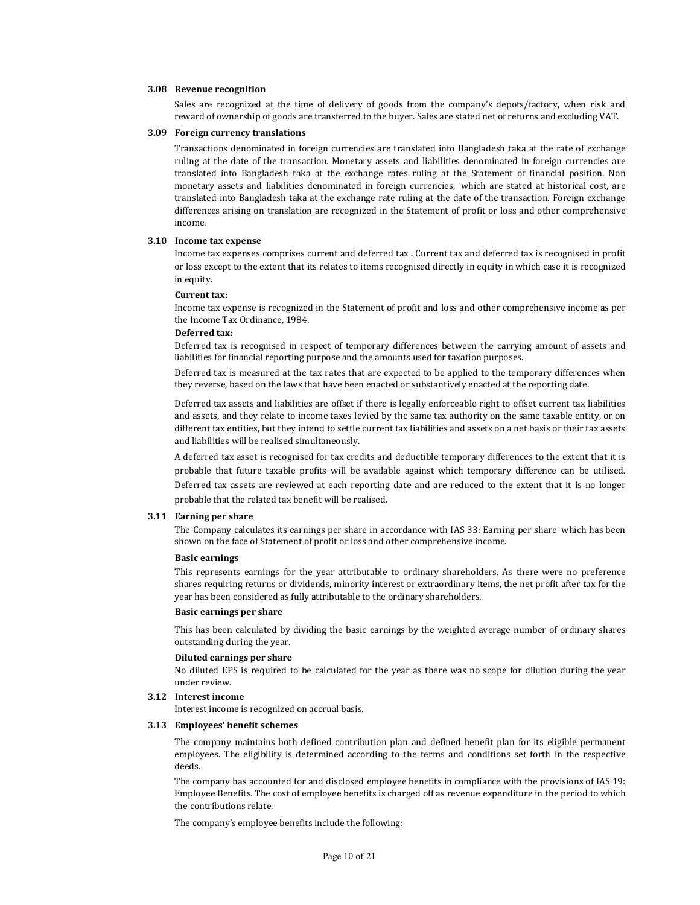#### 3.08 Revenue recognition

Sales are recognized at the time of delivery of goods from the company's depots/factory, when risk and reward of ownership of goods are transferred to the buyer. Sales are stated net of returns and excluding VAT.

### 3.09 Foreign currency translations

Transactions denominated in foreign currencies are translated into Bangladesh taka at the rate of exchange ruling at the date of the transaction. Monetary assets and liabilities denominated in foreign currencies are translated into Bangladesh taka at the exchange rates ruling at the Statement of financial position. Non monetary assets and liabilities denominated in foreign currencies, which are stated at historical cost, are translated into Bangladesh taka at the exchange rate ruling at the date of the transaction. Foreign exchange differences arising on translation are recognized in the Statement of profit or loss and other comprehensive income.

#### Income tax expense 3.10

Income tax expenses comprises current and deferred tax . Current tax and deferred tax is recognised in profit or loss except to the extent that its relates to items recognised directly in equity in which case it is recognized in equity.

#### Current tax:

Income tax expense is recognized in the Statement of profit and loss and other comprehensive income as per the Income Tax Ordinance, 1984.

## Deferred tax:

Deferred tax is recognised in respect of temporary differences between the carrying amount of assets and liabilities for financial reporting purpose and the amounts used for taxation purposes.

Deferred tax is measured at the tax rates that are expected to be applied to the temporary differences when they reverse, based on the laws that have been enacted or substantively enacted at the reporting date.

Deferred tax assets and liabilities are offset if there is legally enforceable right to offset current tax liabilities and assets, and they relate to income taxes levied by the same tax authority on the same taxable entity, or on different tax entities, but they intend to settle current tax liabilities and assets on a net basis or their tax assets and liabilities will be realised simultaneously.

A deferred tax asset is recognised for tax credits and deductible temporary differences to the extent that it is probable that future taxable profits will be available against which temporary difference can be utilised. Deferred tax assets are reviewed at each reporting date and are reduced to the extent that it is no longer probable that the related tax benefit will be realised.

### 3.11 Earning per share

The Company calculates its earnings per share in accordance with IAS 33: Earning per share which has been shown on the face of Statement of profit or loss and other comprehensive income.

### Basic earnings

This represents earnings for the year attributable to ordinary shareholders. As there were no preference shares requiring returns or dividends, minority interest or extraordinary items, the net profit after tax for the year has been considered as fully attributable to the ordinary shareholders.

### Basic earnings per share

This has been calculated by dividing the basic earnings by the weighted average number of ordinary shares outstanding during the year.

### Diluted earnings per share

No diluted EPS is required to be calculated for the year as there was no scope for dilution during the year under review.

### 3.12 Interest income

Interest income is recognized on accrual basis.

### Employees' benefit schemes 3.13

The company maintains both defined contribution plan and defined benefit plan for its eligible permanent employees. The eligibility is determined according to the terms and conditions set forth in the respective deeds.

The company has accounted for and disclosed employee benefits in compliance with the provisions of IAS 19: Employee Benefits. The cost of employee benefits is charged off as revenue expenditure in the period to which the contributions relate.

The company's employee benefits include the following: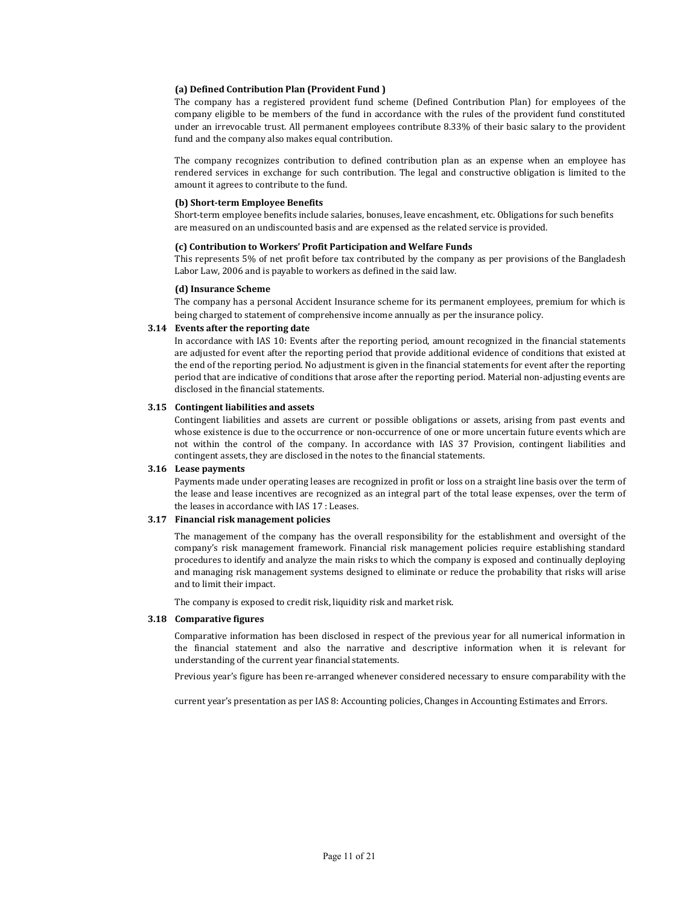### (a) Defined Contribution Plan (Provident Fund )

The company has a registered provident fund scheme (Defined Contribution Plan) for employees of the company eligible to be members of the fund in accordance with the rules of the provident fund constituted under an irrevocable trust. All permanent employees contribute 8.33% of their basic salary to the provident fund and the company also makes equal contribution.

The company recognizes contribution to defined contribution plan as an expense when an employee has rendered services in exchange for such contribution. The legal and constructive obligation is limited to the amount it agrees to contribute to the fund.

### (b) Short-term Employee Benefits

Short-term employee benefits include salaries, bonuses, leave encashment, etc. Obligations for such benefits are measured on an undiscounted basis and are expensed as the related service is provided.

### (c) Contribution to Workers' Profit Participation and Welfare Funds

This represents 5% of net profit before tax contributed by the company as per provisions of the Bangladesh Labor Law, 2006 and is payable to workers as defined in the said law.

### (d) Insurance Scheme

The company has a personal Accident Insurance scheme for its permanent employees, premium for which is being charged to statement of comprehensive income annually as per the insurance policy.

### 3.14 Events after the reporting date

In accordance with IAS 10: Events after the reporting period, amount recognized in the financial statements are adjusted for event after the reporting period that provide additional evidence of conditions that existed at the end of the reporting period. No adjustment is given in the financial statements for event after the reporting period that are indicative of conditions that arose after the reporting period. Material non-adjusting events are disclosed in the financial statements.

### 3.15 Contingent liabilities and assets

Contingent liabilities and assets are current or possible obligations or assets, arising from past events and whose existence is due to the occurrence or non-occurrence of one or more uncertain future events which are not within the control of the company. In accordance with IAS 37 Provision, contingent liabilities and contingent assets, they are disclosed in the notes to the financial statements.

### 3.16 Lease payments

Payments made under operating leases are recognized in profit or loss on a straight line basis over the term of the lease and lease incentives are recognized as an integral part of the total lease expenses, over the term of the leases in accordance with IAS 17 : Leases.

### Financial risk management policies 3.17

The management of the company has the overall responsibility for the establishment and oversight of the company's risk management framework. Financial risk management policies require establishing standard procedures to identify and analyze the main risks to which the company is exposed and continually deploying and managing risk management systems designed to eliminate or reduce the probability that risks will arise and to limit their impact.

The company is exposed to credit risk, liquidity risk and market risk.

### 3.18 Comparative figures

Comparative information has been disclosed in respect of the previous year for all numerical information in the financial statement and also the narrative and descriptive information when it is relevant for understanding of the current year financial statements.

Previous year's figure has been re-arranged whenever considered necessary to ensure comparability with the

current year's presentation as per IAS 8: Accounting policies, Changes in Accounting Estimates and Errors.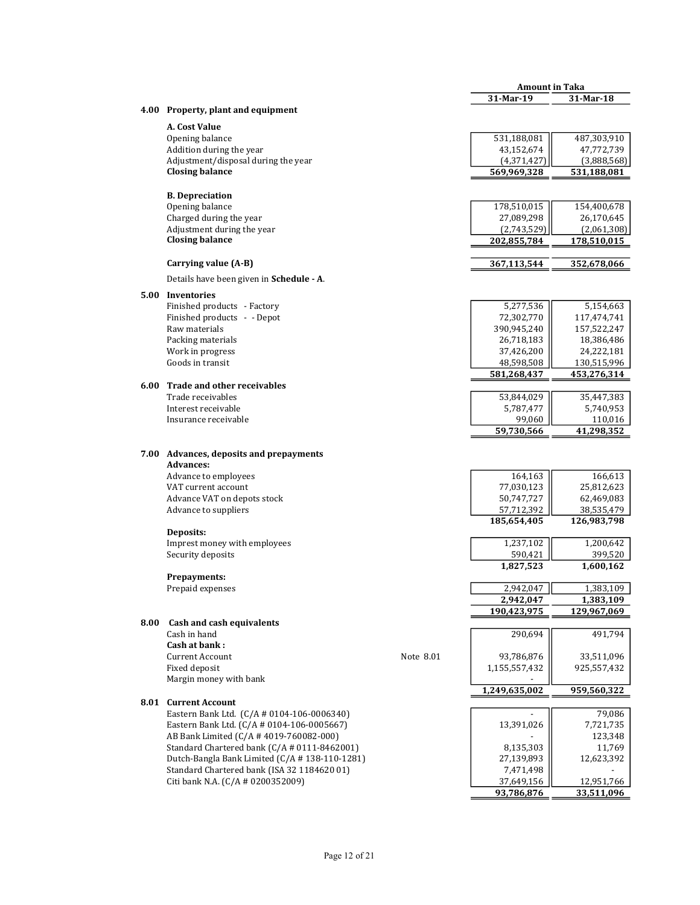|      |                                                             |           | <b>Amount in Taka</b> |             |
|------|-------------------------------------------------------------|-----------|-----------------------|-------------|
|      |                                                             |           | 31-Mar-19             | 31-Mar-18   |
|      | 4.00 Property, plant and equipment                          |           |                       |             |
|      | A. Cost Value                                               |           |                       |             |
|      | Opening balance                                             |           | 531,188,081           | 487,303,910 |
|      | Addition during the year                                    |           | 43,152,674            | 47,772,739  |
|      | Adjustment/disposal during the year                         |           | (4,371,427)           | (3,888,568) |
|      | <b>Closing balance</b>                                      |           | 569,969,328           | 531,188,081 |
|      |                                                             |           |                       |             |
|      | <b>B.</b> Depreciation                                      |           |                       |             |
|      | Opening balance                                             |           | 178,510,015           | 154,400,678 |
|      | Charged during the year                                     |           | 27,089,298            | 26,170,645  |
|      | Adjustment during the year                                  |           | (2,743,529)           | (2,061,308) |
|      | <b>Closing balance</b>                                      |           | 202,855,784           | 178,510,015 |
|      |                                                             |           |                       |             |
|      | Carrying value (A-B)                                        |           | 367,113,544           | 352,678,066 |
|      | Details have been given in <b>Schedule</b> - A.             |           |                       |             |
|      | 5.00 Inventories                                            |           |                       |             |
|      | Finished products - Factory                                 |           | 5,277,536             | 5,154,663   |
|      | Finished products - - Depot                                 |           | 72,302,770            | 117,474,741 |
|      | Raw materials                                               |           | 390,945,240           | 157,522,247 |
|      | Packing materials                                           |           | 26,718,183            | 18,386,486  |
|      | Work in progress                                            |           | 37,426,200            | 24,222,181  |
|      | Goods in transit                                            |           | 48,598,508            | 130,515,996 |
|      |                                                             |           | 581,268,437           | 453,276,314 |
|      | 6.00 Trade and other receivables                            |           |                       |             |
|      | Trade receivables                                           |           | 53,844,029            | 35,447,383  |
|      | Interest receivable                                         |           | 5,787,477             | 5,740,953   |
|      | Insurance receivable                                        |           | 99,060                | 110,016     |
|      |                                                             |           | 59,730,566            | 41,298,352  |
|      |                                                             |           |                       |             |
|      | 7.00 Advances, deposits and prepayments<br><b>Advances:</b> |           |                       |             |
|      | Advance to employees                                        |           | 164,163               | 166,613     |
|      | VAT current account                                         |           | 77,030,123            | 25,812,623  |
|      | Advance VAT on depots stock                                 |           | 50,747,727            | 62,469,083  |
|      | Advance to suppliers                                        |           | 57,712,392            | 38,535,479  |
|      |                                                             |           | 185,654,405           | 126,983,798 |
|      | Deposits:                                                   |           |                       |             |
|      | Imprest money with employees                                |           | 1,237,102             | 1,200,642   |
|      | Security deposits                                           |           | 590,421               | 399,520     |
|      |                                                             |           | 1,827,523             | 1,600,162   |
|      | Prepayments:                                                |           |                       |             |
|      | Prepaid expenses                                            |           | 2,942,047             | 1,383,109   |
|      |                                                             |           | 2,942,047             | 1,383,109   |
|      |                                                             |           | 190,423,975           | 129,967,069 |
| 8.00 | Cash and cash equivalents                                   |           |                       |             |
|      | Cash in hand                                                |           | 290,694               | 491,794     |
|      | Cash at bank:                                               |           |                       |             |
|      | Current Account<br>Fixed deposit                            | Note 8.01 | 93,786,876            | 33,511,096  |
|      | Margin money with bank                                      |           | 1,155,557,432         | 925,557,432 |
|      |                                                             |           | 1,249,635,002         | 959,560,322 |
|      | <b>8.01 Current Account</b>                                 |           |                       |             |
|      | Eastern Bank Ltd. (C/A # 0104-106-0006340)                  |           |                       | 79,086      |
|      | Eastern Bank Ltd. (C/A # 0104-106-0005667)                  |           | 13,391,026            | 7,721,735   |
|      | AB Bank Limited (C/A # 4019-760082-000)                     |           |                       | 123,348     |
|      | Standard Chartered bank (C/A # 0111-8462001)                |           | 8,135,303             | 11,769      |
|      | Dutch-Bangla Bank Limited (C/A # 138-110-1281)              |           | 27,139,893            | 12,623,392  |
|      | Standard Chartered bank (ISA 32 1184620 01)                 |           | 7,471,498             |             |
|      | Citi bank N.A. (C/A # 0200352009)                           |           | 37,649,156            | 12,951,766  |
|      |                                                             |           | 93,786,876            | 33,511,096  |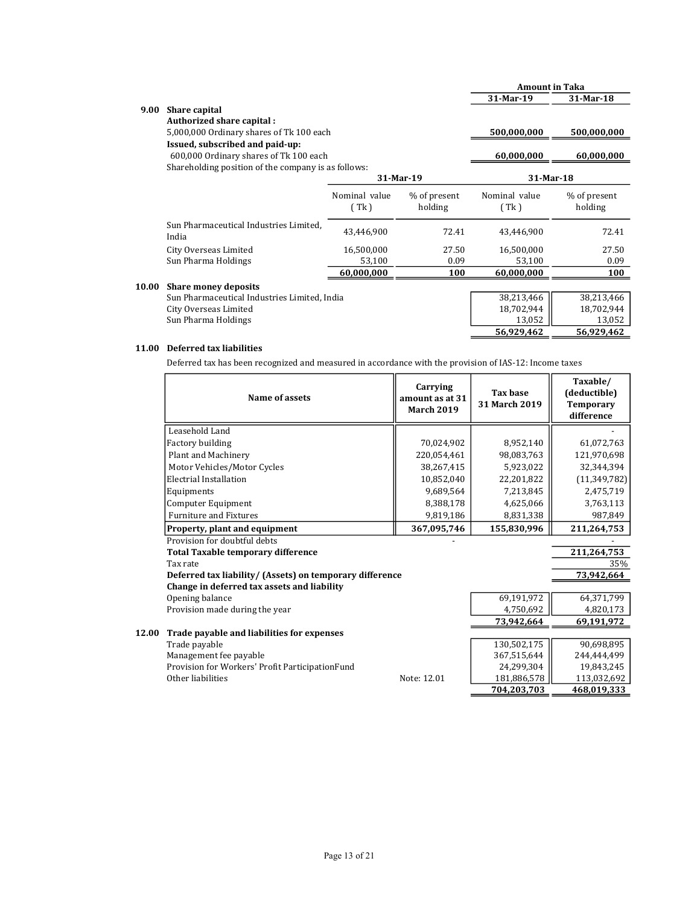|       |                                                     |                       |                         | <b>Amount in Taka</b> |                         |
|-------|-----------------------------------------------------|-----------------------|-------------------------|-----------------------|-------------------------|
|       |                                                     |                       |                         | 31-Mar-19             | 31-Mar-18               |
| 9.00  | Share capital                                       |                       |                         |                       |                         |
|       | Authorized share capital :                          |                       |                         |                       |                         |
|       | 5,000,000 Ordinary shares of Tk 100 each            |                       |                         | 500,000,000           | 500,000,000             |
|       | Issued, subscribed and paid-up:                     |                       |                         |                       |                         |
|       | 600,000 Ordinary shares of Tk 100 each              |                       |                         | 60,000,000            | 60,000,000              |
|       | Shareholding position of the company is as follows: |                       |                         |                       |                         |
|       |                                                     |                       | 31-Mar-19               | 31-Mar-18             |                         |
|       |                                                     | Nominal value<br>(Tk) | % of present<br>holding | Nominal value<br>(Tk) | % of present<br>holding |
|       | Sun Pharmaceutical Industries Limited,<br>India     | 43,446,900            | 72.41                   | 43,446,900            | 72.41                   |
|       | City Overseas Limited                               | 16,500,000            | 27.50                   | 16,500,000            | 27.50                   |
|       | Sun Pharma Holdings                                 | 53,100                | 0.09                    | 53,100                | 0.09                    |
|       |                                                     | 60,000,000            | 100                     | 60,000,000            | 100                     |
| 10.00 | <b>Share money deposits</b>                         |                       |                         |                       |                         |
|       | Sun Pharmaceutical Industries Limited, India        |                       |                         | 38,213,466            | 38,213,466              |
|       | City Overseas Limited                               |                       |                         | 18,702,944            | 18,702,944              |
|       | Sun Pharma Holdings                                 |                       |                         | 13,052                | 13,052                  |
|       |                                                     |                       |                         | 56,929,462            | 56,929,462              |

# 11.00 Deferred tax liabilities

Deferred tax has been recognized and measured in accordance with the provision of IAS-12: Income taxes

|       | Name of assets                                           | Carrying<br>amount as at 31<br><b>March 2019</b> | <b>Tax base</b><br>31 March 2019 | Taxable/<br>(deductible)<br><b>Temporary</b><br>difference |
|-------|----------------------------------------------------------|--------------------------------------------------|----------------------------------|------------------------------------------------------------|
|       | Leasehold Land                                           |                                                  |                                  |                                                            |
|       | Factory building                                         | 70,024,902                                       | 8,952,140                        | 61,072,763                                                 |
|       | Plant and Machinery                                      | 220,054,461                                      | 98,083,763                       | 121,970,698                                                |
|       | Motor Vehicles/Motor Cycles                              | 38,267,415                                       | 5,923,022                        | 32,344,394                                                 |
|       | Electrial Installation                                   | 10,852,040                                       | 22,201,822                       | (11, 349, 782)                                             |
|       | Equipments                                               | 9,689,564                                        | 7,213,845                        | 2,475,719                                                  |
|       | Computer Equipment                                       | 8,388,178                                        | 4,625,066                        | 3,763,113                                                  |
|       | <b>Furniture and Fixtures</b>                            | 9,819,186                                        | 8,831,338                        | 987,849                                                    |
|       | Property, plant and equipment                            | 367,095,746                                      | 155.830.996                      | 211,264,753                                                |
|       | Provision for doubtful debts                             |                                                  |                                  |                                                            |
|       | <b>Total Taxable temporary difference</b>                |                                                  |                                  | 211,264,753                                                |
|       | Tax rate                                                 |                                                  |                                  | 35%                                                        |
|       | Deferred tax liability/ (Assets) on temporary difference |                                                  |                                  | 73,942,664                                                 |
|       | Change in deferred tax assets and liability              |                                                  |                                  |                                                            |
|       | Opening balance                                          |                                                  | 69,191,972                       | 64,371,799                                                 |
|       | Provision made during the year                           |                                                  | 4,750,692                        | 4,820,173                                                  |
|       |                                                          |                                                  | 73,942,664                       | 69,191,972                                                 |
| 12.00 | Trade payable and liabilities for expenses               |                                                  |                                  |                                                            |
|       | Trade payable                                            |                                                  | 130,502,175                      | 90,698,895                                                 |
|       | Management fee payable                                   |                                                  | 367,515,644                      | 244,444,499                                                |
|       | Provision for Workers' Profit ParticipationFund          |                                                  | 24,299,304                       | 19,843,245                                                 |
|       | Other liabilities                                        | Note: 12.01                                      | 181,886,578                      | 113,032,692                                                |
|       |                                                          |                                                  | 704,203,703                      | 468,019,333                                                |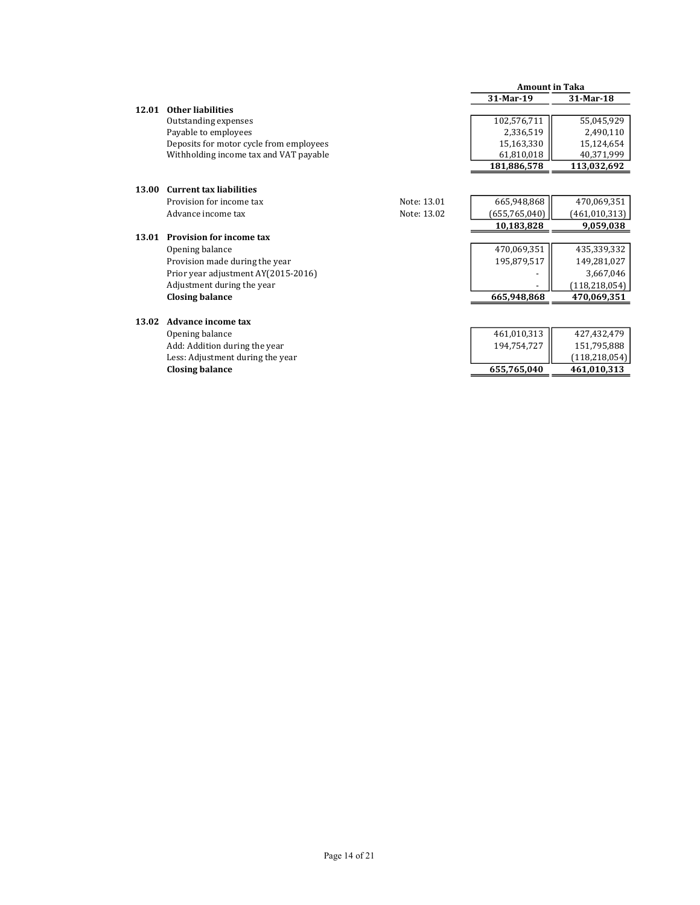|       |                                         |             | <b>Amount in Taka</b> |                 |
|-------|-----------------------------------------|-------------|-----------------------|-----------------|
|       |                                         |             | 31-Mar-19             | 31-Mar-18       |
| 12.01 | <b>Other liabilities</b>                |             |                       |                 |
|       | Outstanding expenses                    |             | 102,576,711           | 55,045,929      |
|       | Payable to employees                    |             | 2,336,519             | 2,490,110       |
|       | Deposits for motor cycle from employees |             | 15,163,330            | 15,124,654      |
|       | Withholding income tax and VAT payable  |             | 61,810,018            | 40,371,999      |
|       |                                         |             | 181,886,578           | 113,032,692     |
|       |                                         |             |                       |                 |
| 13.00 | <b>Current tax liabilities</b>          |             |                       |                 |
|       | Provision for income tax                | Note: 13.01 | 665,948,868           | 470,069,351     |
|       | Advance income tax                      | Note: 13.02 | (655, 765, 040)       | (461, 010, 313) |
|       |                                         |             | 10,183,828            | 9,059,038       |
| 13.01 | <b>Provision for income tax</b>         |             |                       |                 |
|       | Opening balance                         |             | 470,069,351           | 435,339,332     |
|       | Provision made during the year          |             | 195,879,517           | 149,281,027     |
|       | Prior year adjustment AY(2015-2016)     |             |                       | 3,667,046       |
|       | Adjustment during the year              |             |                       | (118, 218, 054) |
|       | <b>Closing balance</b>                  |             | 665,948,868           | 470,069,351     |
|       |                                         |             |                       |                 |
| 13.02 | Advance income tax                      |             |                       |                 |
|       | Opening balance                         |             | 461,010,313           | 427,432,479     |
|       | Add: Addition during the year           |             | 194,754,727           | 151,795,888     |
|       | Less: Adjustment during the year        |             |                       | (118, 218, 054) |
|       | <b>Closing balance</b>                  |             | 655,765,040           | 461,010,313     |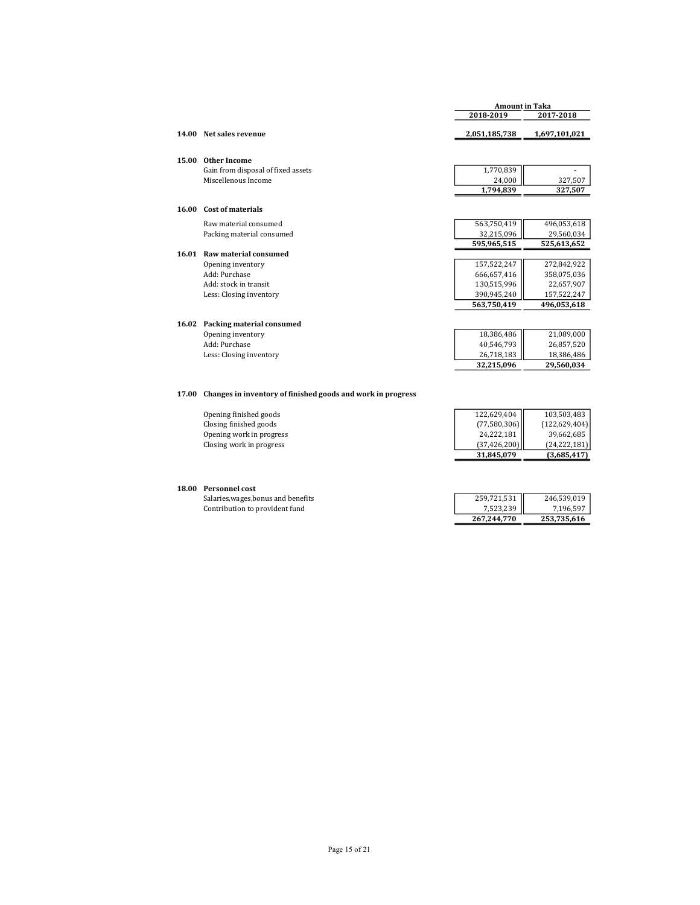|       |                                    | <b>Amount in Taka</b> |               |
|-------|------------------------------------|-----------------------|---------------|
|       |                                    | 2018-2019             | 2017-2018     |
|       | 14.00 Net sales revenue            | 2,051,185,738         | 1,697,101,021 |
| 15.00 | <b>Other Income</b>                |                       |               |
|       | Gain from disposal of fixed assets | 1,770,839             |               |
|       | Miscellenous Income                | 24,000                | 327,507       |
|       |                                    | 1,794,839             | 327,507       |
| 16.00 | Cost of materials                  |                       |               |
|       | Raw material consumed              | 563,750,419           | 496,053,618   |
|       | Packing material consumed          | 32,215,096            | 29,560,034    |
|       |                                    | 595,965,515           | 525,613,652   |
| 16.01 | Raw material consumed              |                       |               |
|       | Opening inventory                  | 157,522,247           | 272,842,922   |
|       | Add: Purchase                      | 666,657,416           | 358,075,036   |
|       | Add: stock in transit              | 130,515,996           | 22,657,907    |
|       | Less: Closing inventory            | 390,945,240           | 157,522,247   |
|       |                                    | 563,750,419           | 496,053,618   |
| 16.02 | Packing material consumed          |                       |               |
|       | Opening inventory                  | 18,386,486            | 21,089,000    |
|       | Add: Purchase                      | 40,546,793            | 26,857,520    |
|       | Less: Closing inventory            | 26,718,183            | 18,386,486    |
|       |                                    | 32,215,096            | 29,560,034    |

## 17.00 Changes in inventory of finished goods and work in progress

| Closing work in progress | (37,426,200) | (24, 222, 181)  |
|--------------------------|--------------|-----------------|
| Opening work in progress | 24,222,181   | 39.662.685      |
| Closing finished goods   | (77,580,306) | (122, 629, 404) |
| Opening finished goods   | 122,629,404  | 103,503,483     |

### $18.00$   $\,$  Personnel cost

Salaries,wages,bonus and benefits Contribution to provident fund

| 259,721,531 | 246,539,019 |
|-------------|-------------|
| 7,523,239   | 7,196,597   |
| 267,244,770 | 253,735,616 |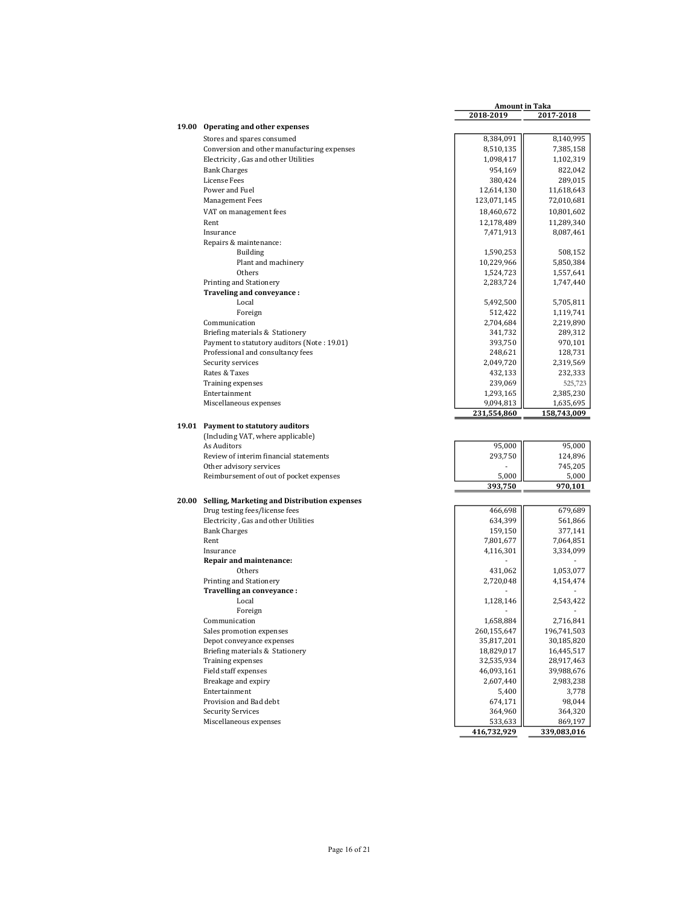|                                                                    | <b>Amount in Taka</b>  |                        |
|--------------------------------------------------------------------|------------------------|------------------------|
|                                                                    | 2018-2019              | 2017-2018              |
| 19.00 Operating and other expenses                                 |                        |                        |
| Stores and spares consumed                                         | 8,384,091              | 8,140,995              |
| Conversion and other manufacturing expenses                        | 8,510,135              | 7,385,158              |
| Electricity, Gas and other Utilities                               | 1,098,417              | 1,102,319              |
| <b>Bank Charges</b>                                                | 954,169                | 822,042                |
| <b>License Fees</b>                                                | 380,424                | 289,015                |
| Power and Fuel                                                     | 12,614,130             | 11,618,643             |
| <b>Management Fees</b>                                             | 123,071,145            | 72,010,681             |
| VAT on management fees                                             | 18,460,672             | 10,801,602             |
| Rent                                                               | 12,178,489             | 11,289,340             |
| Insurance                                                          | 7,471,913              | 8,087,461              |
| Repairs & maintenance:                                             |                        |                        |
| <b>Building</b>                                                    | 1,590,253              | 508,152                |
| Plant and machinery<br>Others                                      | 10,229,966             | 5,850,384              |
| Printing and Stationery                                            | 1,524,723<br>2,283,724 | 1,557,641<br>1,747,440 |
| Traveling and conveyance:                                          |                        |                        |
| Local                                                              | 5,492,500              | 5,705,811              |
| Foreign                                                            | 512,422                | 1,119,741              |
| Communication                                                      | 2,704,684              | 2,219,890              |
| Briefing materials & Stationery                                    | 341,732                | 289,312                |
| Payment to statutory auditors (Note: 19.01)                        | 393,750                | 970,101                |
| Professional and consultancy fees                                  | 248,621                | 128,731                |
| Security services                                                  | 2,049,720              | 2,319,569              |
| Rates & Taxes                                                      | 432,133                | 232,333                |
| <b>Training expenses</b>                                           | 239,069                | 525,723                |
| Entertainment                                                      | 1,293,165              | 2,385,230              |
| Miscellaneous expenses                                             | 9,094,813              | 1,635,695              |
|                                                                    | 231,554,860            | 158,743,009            |
| 19.01 Payment to statutory auditors                                |                        |                        |
| (Including VAT, where applicable)                                  |                        |                        |
| As Auditors                                                        | 95,000                 | 95,000                 |
| Review of interim financial statements                             | 293,750                | 124,896                |
| Other advisory services<br>Reimbursement of out of pocket expenses | 5,000                  | 745,205<br>5,000       |
|                                                                    | 393,750                | 970,101                |
|                                                                    |                        |                        |
| 20.00 Selling, Marketing and Distribution expenses                 |                        |                        |
| Drug testing fees/license fees                                     | 466,698                | 679,689                |
| Electricity, Gas and other Utilities                               | 634,399                | 561,866                |
| <b>Bank Charges</b><br>Rent                                        | 159,150<br>7,801,677   | 377,141<br>7,064,851   |
| Insurance                                                          | 4,116,301              | 3,334,099              |
| Repair and maintenance:                                            |                        |                        |
| Others                                                             | 431,062                | 1,053,077              |
| Printing and Stationery                                            | 2,720,048              | 4,154,474              |
| Travelling an conveyance :                                         |                        |                        |
| Local                                                              | 1,128,146              | 2,543,422              |
| Foreign                                                            |                        |                        |
| Communication                                                      | 1,658,884              | 2,716,841              |
| Sales promotion expenses                                           | 260,155,647            | 196,741,503            |
| Depot conveyance expenses                                          | 35,817,201             | 30,185,820             |
| Briefing materials & Stationery                                    | 18,829,017             | 16,445,517             |
| Training expenses                                                  | 32,535,934             | 28,917,463             |
| Field staff expenses                                               | 46,093,161             | 39,988,676             |
| Breakage and expiry                                                | 2,607,440              | 2,983,238              |
| Entertainment                                                      | 5,400                  | 3,778                  |
| Provision and Bad debt                                             | 674,171                | 98,044                 |
| Security Services<br>Miscellaneous expenses                        | 364,960<br>533,633     | 364,320<br>869,197     |
|                                                                    | 416,732,929            | 339,083,016            |
|                                                                    |                        |                        |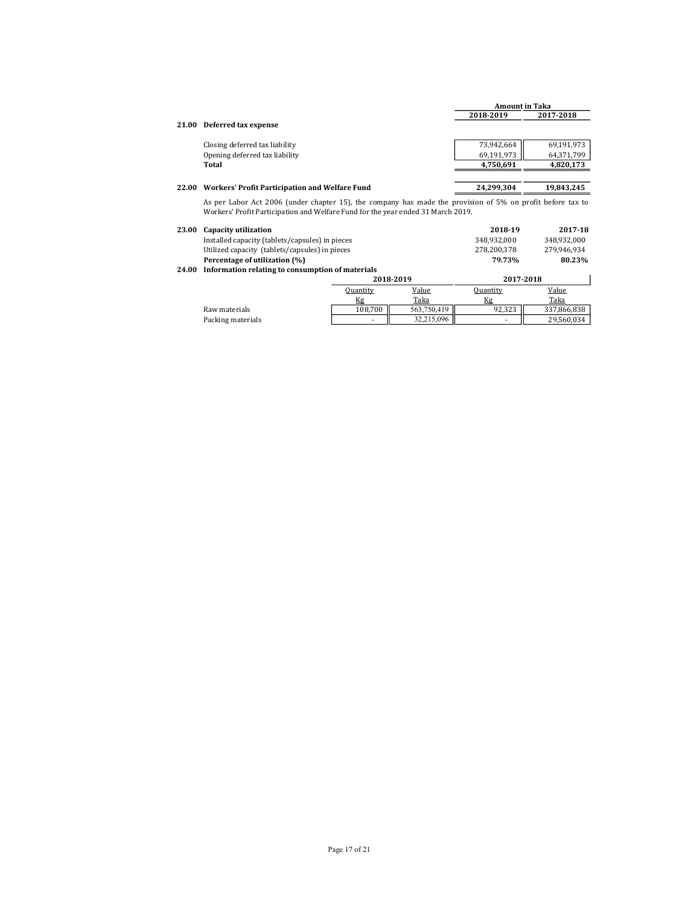|       |                                                                                                                                                                                                | <b>Amount in Taka</b> |             |
|-------|------------------------------------------------------------------------------------------------------------------------------------------------------------------------------------------------|-----------------------|-------------|
|       |                                                                                                                                                                                                | 2018-2019             | 2017-2018   |
| 21.00 | Deferred tax expense                                                                                                                                                                           |                       |             |
|       | Closing deferred tax liability                                                                                                                                                                 | 73,942,664            | 69,191,973  |
|       | Opening deferred tax liability                                                                                                                                                                 | 69,191,973            | 64,371,799  |
|       | Total                                                                                                                                                                                          | 4,750,691             | 4,820,173   |
|       |                                                                                                                                                                                                |                       |             |
| 22.00 | Workers' Profit Participation and Welfare Fund                                                                                                                                                 | 24,299,304            | 19,843,245  |
|       | As per Labor Act 2006 (under chapter 15), the company has made the provision of 5% on profit before tax to<br>Workers' Profit Participation and Welfare Fund for the year ended 31 March 2019. |                       |             |
| 23.00 | <b>Capacity utilization</b>                                                                                                                                                                    | 2018-19               | 2017-18     |
|       | Installed capacity (tablets/capsules) in pieces                                                                                                                                                | 348,932,000           | 348,932,000 |
|       | Utilized capacity (tablets/capsules) in pieces                                                                                                                                                 | 278.200.378           | 279.946.934 |
|       | Percentage of utilization (%)                                                                                                                                                                  | 79.73%                | 80.23%      |
| 24.00 | Information relating to consumption of materials                                                                                                                                               |                       |             |
|       | <b>3010.3010</b>                                                                                                                                                                               | 3045.3040             |             |

|                   | 2018-2019 |             | 2017-2018                |             |
|-------------------|-----------|-------------|--------------------------|-------------|
|                   | Quantity  | Value       | Quantity                 | Value       |
|                   | Кg        | Taka        | Кg                       | Taka        |
| Raw materials     | 108.700   | 563,750,419 | 92.323                   | 337.866.838 |
| Packing materials | -         | 32,215,096  | $\overline{\phantom{0}}$ | 29,560,034  |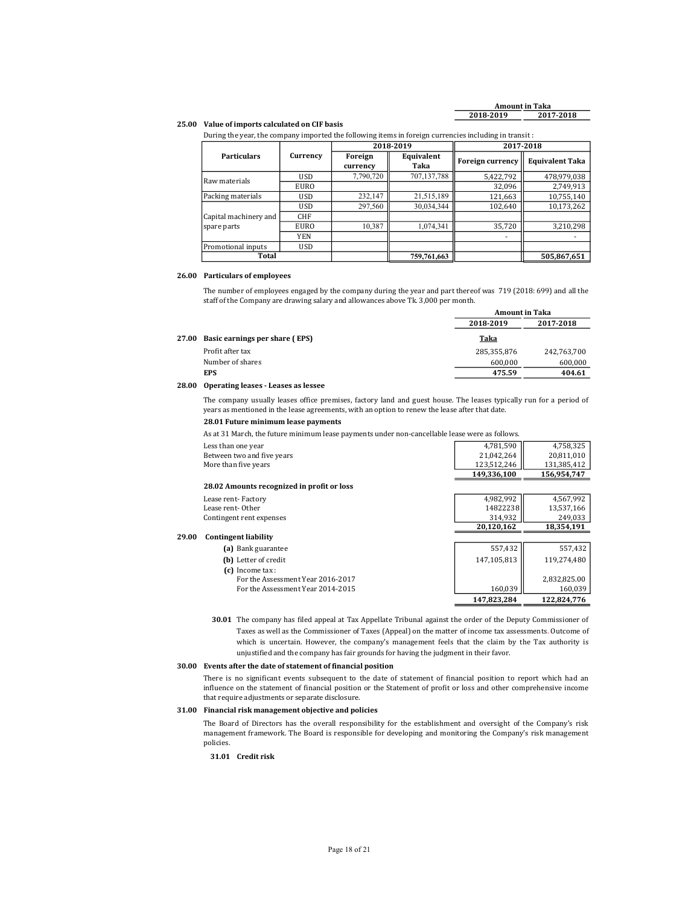| <b>Amount in Taka</b> |           |  |
|-----------------------|-----------|--|
| 2018-2019             | 2017-2018 |  |

Amount in Taka

### 25.00 Value of imports calculated on CIF basis

During the year, the company imported the following items in foreign currencies including in transit :

|                       |            | 2018-2019           |                    | 2017-2018               |                        |
|-----------------------|------------|---------------------|--------------------|-------------------------|------------------------|
| <b>Particulars</b>    | Currency   | Foreign<br>currency | Equivalent<br>Taka | <b>Foreign currency</b> | <b>Equivalent Taka</b> |
| Raw materials         | <b>USD</b> | 7,790,720           | 707,137,788        | 5,422,792               | 478,979,038            |
|                       | EURO       |                     |                    | 32,096                  | 2,749,913              |
| Packing materials     | <b>USD</b> | 232.147             | 21,515,189         | 121,663                 | 10,755,140             |
|                       | <b>USD</b> | 297,560             | 30,034,344         | 102,640                 | 10,173,262             |
| Capital machinery and | CHF        |                     |                    |                         |                        |
| spare parts           | EURO       | 10,387              | 1,074,341          | 35,720                  | 3,210,298              |
|                       | <b>YEN</b> |                     |                    |                         |                        |
| Promotional inputs    | <b>USD</b> |                     |                    |                         |                        |
| Total                 |            |                     | 759,761,663        |                         | 505,867,651            |

### 26.00 Particulars of employees

The number of employees engaged by the company during the year and part thereof was 719 (2018: 699) and all the staff of the Company are drawing salary and allowances above Tk. 3,000 per month.

|       |                                | 2018-2019   | 2017-2018   |
|-------|--------------------------------|-------------|-------------|
| 27.00 | Basic earnings per share (EPS) | Taka        |             |
|       | Profit after tax               | 285,355,876 | 242,763,700 |
|       | Number of shares               | 600.000     | 600,000     |
|       | <b>EPS</b>                     | 475.59      | 404.61      |
|       | $\sim$ $\sim$                  |             |             |

#### 28.00 Operating leases - Leases as lessee

The company usually leases office premises, factory land and guest house. The leases typically run for a period of years as mentioned in the lease agreements, with an option to renew the lease after that date.

#### 28.01 Future minimum lease payments

As at 31 March, the future minimum lease payments under non-cancellable lease were as follows.

|       | Less than one year                         | 4,781,590   | 4,758,325    |
|-------|--------------------------------------------|-------------|--------------|
|       | Between two and five years                 | 21,042,264  | 20,811,010   |
|       | More than five years                       | 123,512,246 | 131,385,412  |
|       |                                            | 149,336,100 | 156,954,747  |
|       | 28.02 Amounts recognized in profit or loss |             |              |
|       | Lease rent-Factory                         | 4,982,992   | 4,567,992    |
|       | Lease rent-Other                           | 14822238    | 13,537,166   |
|       | Contingent rent expenses                   | 314.932     | 249,033      |
|       |                                            | 20,120,162  | 18,354,191   |
| 29.00 | <b>Contingent liability</b>                |             |              |
|       | (a) Bank guarantee                         | 557,432     | 557,432      |
|       | (b) Letter of credit                       | 147.105.813 | 119.274.480  |
|       | (c) Income tax:                            |             |              |
|       | For the Assessment Year 2016-2017          |             | 2,832,825.00 |
|       | For the Assessment Year 2014-2015          | 160.039     | 160,039      |
|       |                                            | 147,823,284 | 122.824.776  |

 30.01 The company has filed appeal at Tax Appellate Tribunal against the order of the Deputy Commissioner of Taxes as well as the Commissioner of Taxes (Appeal) on the matter of income tax assessments. Outcome of which is uncertain. However, the company's management feels that the claim by the Tax authority is unjustified and the company has fair grounds for having the judgment in their favor.

#### 30.00 Events after the date of statement of financial position

There is no significant events subsequent to the date of statement of financial position to report which had an influence on the statement of financial position or the Statement of profit or loss and other comprehensive income that require adjustments or separate disclosure.

#### 31.00 Financial risk management objective and policies

The Board of Directors has the overall responsibility for the establishment and oversight of the Company's risk management framework. The Board is responsible for developing and monitoring the Company's risk management policies.

31.01 Credit risk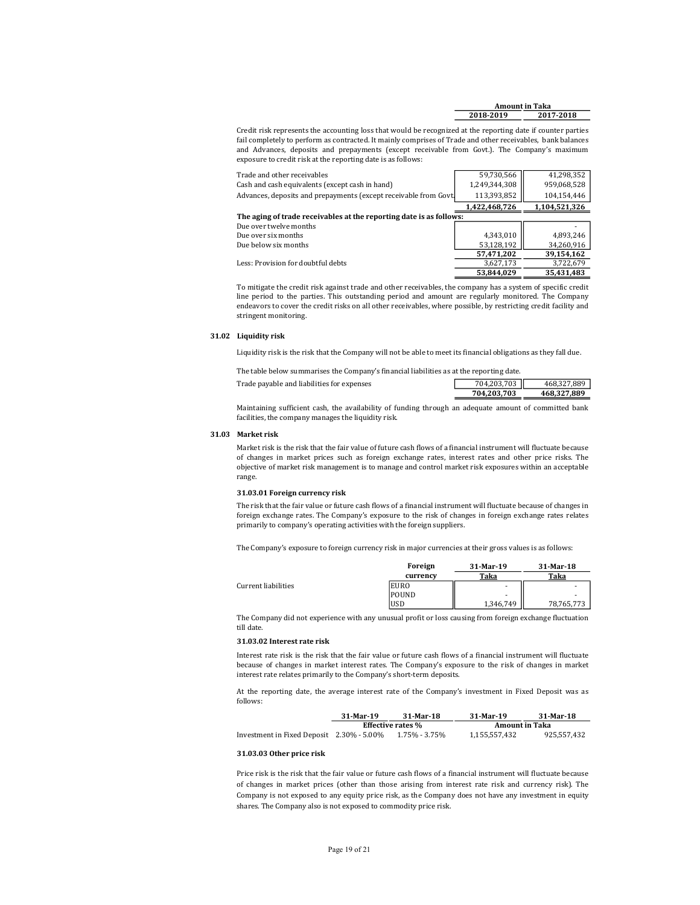|           | <b>Amount in Taka</b> |
|-----------|-----------------------|
| 2018-2019 | 2017-2018             |

Credit risk represents the accounting loss that would be recognized at the reporting date if counter parties fail completely to perform as contracted. It mainly comprises of Trade and other receivables, bank balances and Advances, deposits and prepayments (except receivable from Govt.). The Company's maximum exposure to credit risk at the reporting date is as follows:

| Trade and other receivables<br>Cash and cash equivalents (except cash in hand) | 59,730,566<br>1,249,344,308 | 41,298,352<br>959,068,528 |
|--------------------------------------------------------------------------------|-----------------------------|---------------------------|
| Advances, deposits and prepayments (except receivable from Govt.               | 113,393,852                 | 104,154,446               |
|                                                                                | 1,422,468,726               | 1,104,521,326             |
| The aging of trade receivables at the reporting date is as follows:            |                             |                           |
| Due over twelve months                                                         |                             |                           |
| Due over six months                                                            | 4,343,010                   | 4,893,246                 |
| Due below six months                                                           | 53,128,192                  | 34,260,916                |
|                                                                                | 57,471,202                  | 39,154,162                |
| Less: Provision for doubtful debts                                             | 3,627,173                   | 3,722,679                 |
|                                                                                | 53.844.029                  | 35,431,483                |

To mitigate the credit risk against trade and other receivables, the company has a system of specific credit line period to the parties. This outstanding period and amount are regularly monitored. The Company endeavors to cover the credit risks on all other receivables, where possible, by restricting credit facility and stringent monitoring.

### 31.02 Liquidity risk

Liquidity risk is the risk that the Company will not be able to meet its financial obligations as they fall due.

The table below summarises the Company's financial liabilities as at the reporting date.

| Trade payable and liabilities for expenses | 704,203,703<br>704.203.703 | 468.327.889<br>468.327.889 |
|--------------------------------------------|----------------------------|----------------------------|
|                                            |                            |                            |

Maintaining sufficient cash, the availability of funding through an adequate amount of committed bank facilities, the company manages the liquidity risk.

### 31.03 Market risk

Market risk is the risk that the fair value of future cash flows of a financial instrument will fluctuate because of changes in market prices such as foreign exchange rates, interest rates and other price risks. The objective of market risk management is to manage and control market risk exposures within an acceptable range.

#### 31.03.01 Foreign currency risk

The risk that the fair value or future cash flows of a financial instrument will fluctuate because of changes in foreign exchange rates. The Company's exposure to the risk of changes in foreign exchange rates relates primarily to company's operating activities with the foreign suppliers.

The Company's exposure to foreign currency risk in major currencies at their gross values is as follows:

|                     | Foreign     |                          | 31-Mar-18                |  |
|---------------------|-------------|--------------------------|--------------------------|--|
|                     | currency    | Taka                     | Taka                     |  |
| Current liabilities | <b>EURO</b> | $\overline{\phantom{0}}$ | $\overline{\phantom{0}}$ |  |
|                     | l POUND     | $\overline{\phantom{0}}$ |                          |  |
|                     | <b>USD</b>  | 1,346,749                | 78,765,773               |  |

The Company did not experience with any unusual profit or loss causing from foreign exchange fluctuation till date.

#### 31.03.02 Interest rate risk

Interest rate risk is the risk that the fair value or future cash flows of a financial instrument will fluctuate because of changes in market interest rates. The Company's exposure to the risk of changes in market interest rate relates primarily to the Company's short-term deposits.

At the reporting date, the average interest rate of the Company's investment in Fixed Deposit was as follows:

|                                           | 31-Mar-19 | 31 Mar-18                | 31 Mar 19             | 31 Mar 18   |  |
|-------------------------------------------|-----------|--------------------------|-----------------------|-------------|--|
|                                           |           | <b>Effective rates %</b> | <b>Amount in Taka</b> |             |  |
| Investment in Fixed Deposit 2.30% - 5.00% |           | 1.75% - 3.75%            | 1.155.557.432         | 925.557.432 |  |

#### 31.03.03 Other price risk

Price risk is the risk that the fair value or future cash flows of a financial instrument will fluctuate because of changes in market prices (other than those arising from interest rate risk and currency risk). The Company is not exposed to any equity price risk, as the Company does not have any investment in equity shares. The Company also is not exposed to commodity price risk.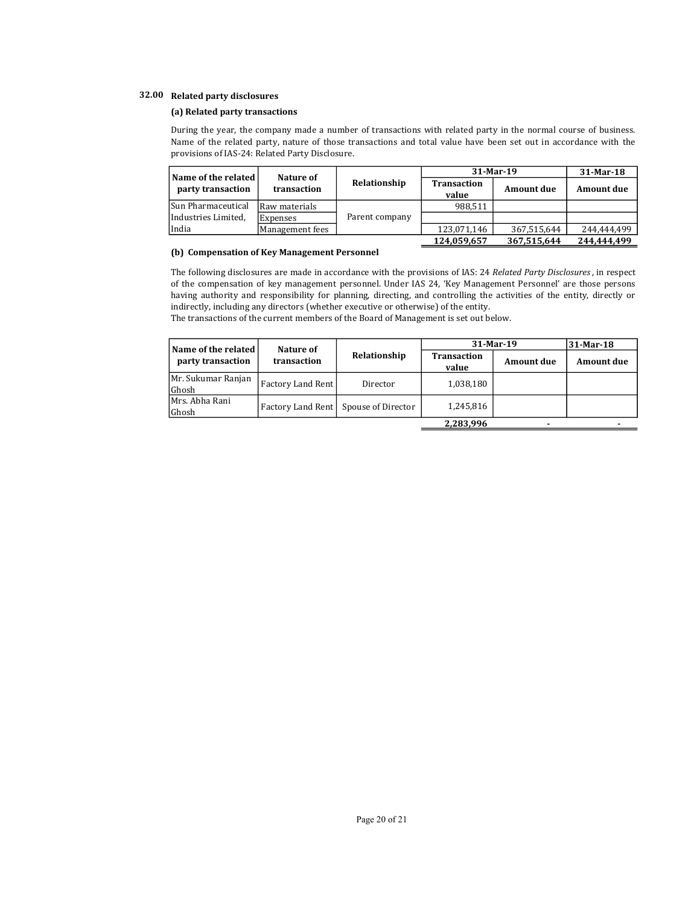# 32.00 Related party disclosures

### (a) Related party transactions

During the year, the company made a number of transactions with related party in the normal course of business. Name of the related party, nature of those transactions and total value have been set out in accordance with the provisions of IAS-24: Related Party Disclosure.

| Name of the related  | Nature of<br>transaction |                | 31-Mar-19                   | 31-Mar-18         |                   |
|----------------------|--------------------------|----------------|-----------------------------|-------------------|-------------------|
| party transaction    |                          | Relationship   | <b>Transaction</b><br>value | <b>Amount due</b> | <b>Amount due</b> |
| l Sun Pharmaceutical | Raw materials            |                | 988.511                     |                   |                   |
| Industries Limited,  | Expenses                 | Parent company |                             |                   |                   |
| India                | Management fees          |                | 123,071,146                 | 367.515.644       | 244.444.499       |
|                      |                          |                | 124.059.657                 | 367.515.644       | 244.444.499       |

### (b) Compensation of Key Management Personnel

The following disclosures are made in accordance with the provisions of IAS: 24 Related Party Disclosures, in respect of the compensation of key management personnel. Under IAS 24, 'Key Management Personnel' are those persons having authority and responsibility for planning, directing, and controlling the activities of the entity, directly or indirectly, including any directors (whether executive or otherwise) of the entity.

The transactions of the current members of the Board of Management is set out below.

| Name of the related           | Nature of         |                                      | 31-Mar-19                   | 31-Mar-18         |                   |
|-------------------------------|-------------------|--------------------------------------|-----------------------------|-------------------|-------------------|
| party transaction             | transaction       | Relationship                         | <b>Transaction</b><br>value | <b>Amount due</b> | <b>Amount due</b> |
| Mr. Sukumar Ranjan<br>l Ghosh | Factory Land Rent | Director                             | 1,038,180                   |                   |                   |
| Mrs. Abha Rani<br> Ghosh      |                   | Factory Land Rent Spouse of Director | 1,245,816                   |                   |                   |
|                               |                   |                                      | 2,283,996                   |                   |                   |